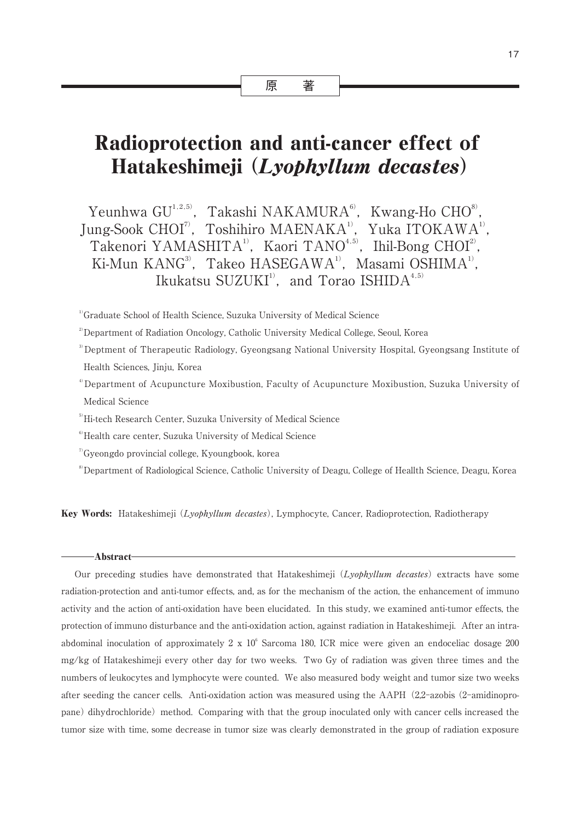# 原 著

# Radioprotection and anti-cancer effect of Hatakeshimeji (Lyophyllum decastes)

Yeunhwa GU<sup>1,2,5)</sup>, Takashi NAKAMURA<sup>6)</sup>, Kwang-Ho CHO<sup>8)</sup>, Jung-Sook CHOI $^{\eta}$ , Toshihiro MAENAKA $^{\text{\tiny{1}}}$ , Yuka ITOKAWA $^{\text{\tiny{1}}}$ , Takenori YAMASHITA<sup>1</sup>, Kaori TANO<sup>4,5)</sup>, Ihil-Bong CHOI<sup>2</sup>,  $Ki$ -Mun  $KANG<sup>3</sup>$ , Takeo  $HASEGAWA<sup>1</sup>$ , Masami OSHIM $A<sup>1</sup>$ , Ikukatsu SUZUKI<sup>1)</sup>, and Torao ISHIDA<sup>4,5)</sup>

<sup>1)</sup>Graduate School of Health Science, Suzuka University of Medical Science

<sup>5)</sup>Hi-tech Research Center, Suzuka University of Medical Science

6)Health care center, Suzuka University of Medical Science

 $\sigma$ <sup>7</sup>Gyeongdo provincial college, Kyoungbook, korea

8)Department of Radiological Science, Catholic University of Deagu, College of Heallth Science, Deagu, Korea

Key Words: Hatakeshimeji (Lyophyllum decastes), Lymphocyte, Cancer, Radioprotection, Radiotherapy

#### Abstract

Our preceding studies have demonstrated that Hatakeshimeji (Lyophyllum decastes) extracts have some radiation-protection and anti-tumor effects, and, as for the mechanism of the action, the enhancement of immuno activity and the action of anti-oxidation have been elucidated. In this study, we examined anti-tumor effects, the protection of immuno disturbance and the anti-oxidation action, against radiation in Hatakeshimeji. After an intraabdominal inoculation of approximately  $2 \times 10^6$  Sarcoma 180, ICR mice were given an endoceliac dosage 200 mg/kg of Hatakeshimeji every other day for two weeks. Two Gy of radiation was given three times and the numbers of leukocytes and lymphocyte were counted. We also measured body weight and tumor size two weeks after seeding the cancer cells. Anti-oxidation action was measured using the AAPH (2,2-azobis (2-amidinopropane) dihydrochloride) method. Comparing with that the group inoculated only with cancer cells increased the tumor size with time, some decrease in tumor size was clearly demonstrated in the group of radiation exposure

<sup>&</sup>lt;sup>2</sup> Department of Radiation Oncology, Catholic University Medical College, Seoul, Korea

<sup>&</sup>lt;sup>3)</sup>Deptment of Therapeutic Radiology, Gyeongsang National University Hospital, Gyeongsang Institute of Health Sciences, Jinju, Korea

<sup>4)</sup>Department of Acupuncture Moxibustion, Faculty of Acupuncture Moxibustion, Suzuka University of Medical Science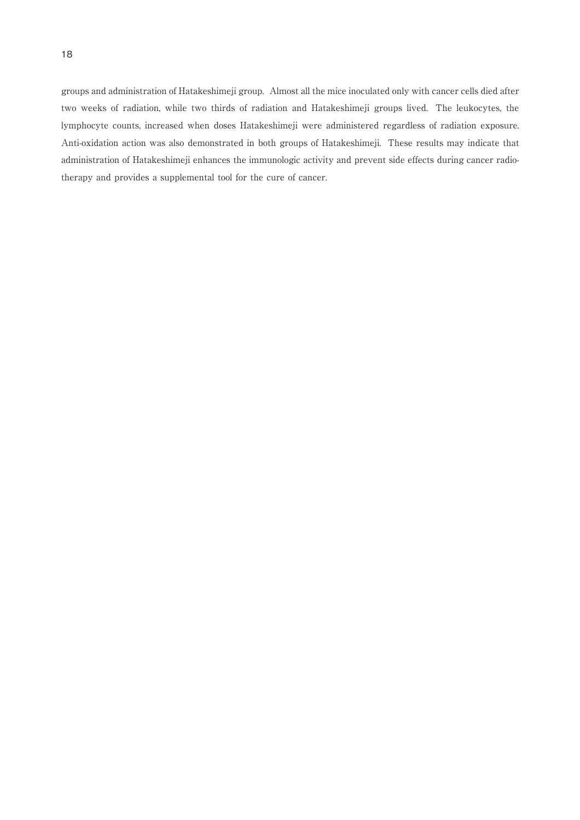groups and administration of Hatakeshimeji group. Almost all the mice inoculated only with cancer cells died after two weeks of radiation, while two thirds of radiation and Hatakeshimeji groups lived. The leukocytes, the lymphocyte counts, increased when doses Hatakeshimeji were administered regardless of radiation exposure. Anti-oxidation action was also demonstrated in both groups of Hatakeshimeji. These results may indicate that administration of Hatakeshimeji enhances the immunologic activity and prevent side effects during cancer radiotherapy and provides a supplemental tool for the cure of cancer.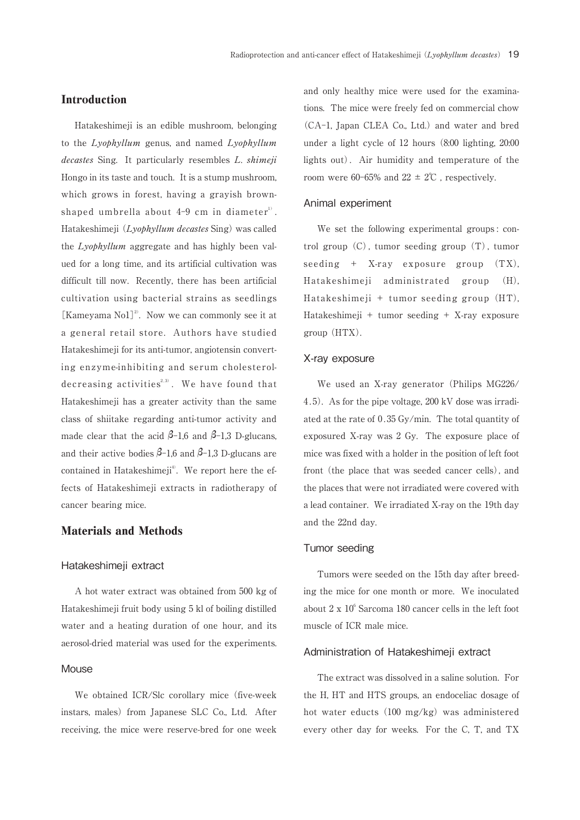# Introduction

Hatakeshimeji is an edible mushroom, belonging to the Lyophyllum genus, and named Lyophyllum decastes Sing. It particularly resembles *L. shimeji* Hongo in its taste and touch. It is a stump mushroom, which grows in forest, having a grayish brownshaped umbrella about  $4-9$  cm in diameter<sup>1)</sup>. . Hatakeshimeji (Lyophyllum decastes Sing) was called the Lyophyllum aggregate and has highly been valued for a long time, and its artificial cultivation was difficult till now. Recently, there has been artificial cultivation using bacterial strains as seedlings [Kameyama No1]<sup>2</sup>. Now we can commonly see it at a general retail store. Authors have studied Hatakeshimeji for its anti-tumor, angiotensin converting enzyme-inhibiting and serum cholesteroldecreasing activities<sup>2,3)</sup>. We have found that Hatakeshimeji has a greater activity than the same class of shiitake regarding anti-tumor activity and made clear that the acid  $\beta$ -1,6 and  $\beta$ -1,3 D-glucans, and their active bodies  $\beta$ -1,6 and  $\beta$ -1,3 D-glucans are contained in Hatakeshimeji<sup>4</sup>. We report here the effects of Hatakeshimeji extracts in radiotherapy of cancer bearing mice.

# Materials and Methods

## Hatakeshimeji extract

A hot water extract was obtained from 500 kg of Hatakeshimeji fruit body using 5 kl of boiling distilled water and a heating duration of one hour, and its aerosol-dried material was used for the experiments.

## **Mouse**

We obtained ICR/Slc corollary mice (five-week instars, males) from Japanese SLC Co., Ltd. After receiving, the mice were reserve-bred for one week and only healthy mice were used for the examinations. The mice were freely fed on commercial chow (CA-1, Japan CLEA Co., Ltd.) and water and bred under a light cycle of 12 hours (8:00 lighting, 20:00 lights out) . Air humidity and temperature of the room were 60-65% and  $22 \pm 2^{\circ}$ . respectively.

#### Animal experiment

We set the following experimental groups : control group (C) , tumor seeding group (T) , tumor seeding  $+$  X-ray exposure group  $(TX)$ , Hatakeshimeji administrated group (H), Hatakeshimeji + tumor seeding group  $(HT)$ , Hatakeshimeji + tumor seeding + X-ray exposure group (HTX).

#### X-ray exposure

We used an X-ray generator (Philips MG226/ 4.5). As for the pipe voltage, 200 kV dose was irradiated at the rate of 0.35 Gy/min. The total quantity of exposured X-ray was 2 Gy. The exposure place of mice was fixed with a holder in the position of left foot front (the place that was seeded cancer cells), and the places that were not irradiated were covered with a lead container. We irradiated X-ray on the 19th day and the 22nd day.

#### Tumor seeding

Tumors were seeded on the 15th day after breeding the mice for one month or more. We inoculated about  $2 \times 10^6$  Sarcoma 180 cancer cells in the left foot muscle of ICR male mice.

#### Administration of Hatakeshimeji extract

The extract was dissolved in a saline solution. For the H, HT and HTS groups, an endoceliac dosage of hot water educts (100 mg/kg) was administered every other day for weeks. For the C, T, and TX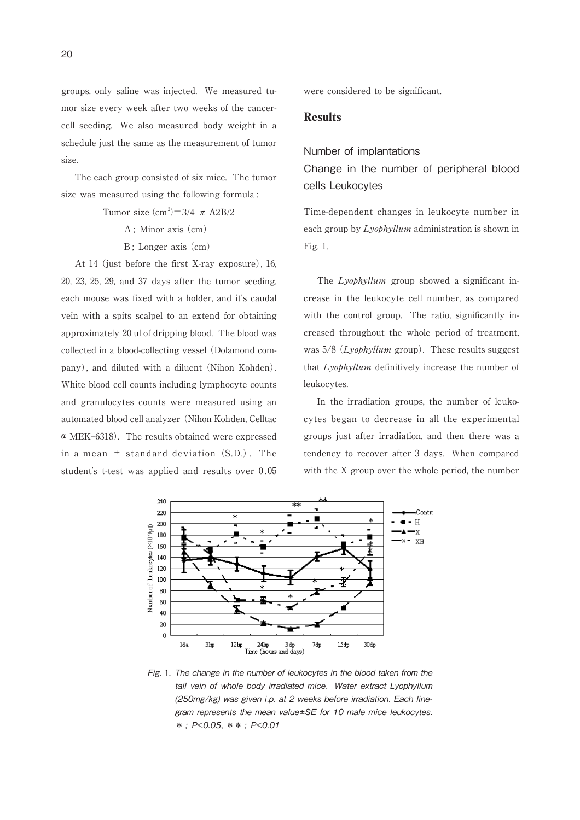groups, only saline was injected. We measured tumor size every week after two weeks of the cancercell seeding. We also measured body weight in a schedule just the same as the measurement of tumor size.

The each group consisted of six mice. The tumor size was measured using the following formula :

Tumor size  $\text{(cm}^3) = 3/4 \pi$  A2B/2

A ; Minor axis (cm)

B ; Longer axis (cm)

At 14 (just before the first X-ray exposure), 16, 20, 23, 25, 29, and 37 days after the tumor seeding, each mouse was fixed with a holder, and it's caudal vein with a spits scalpel to an extend for obtaining approximately 20 ul of dripping blood. The blood was collected in a blood-collecting vessel (Dolamond company), and diluted with a diluent (Nihon Kohden). White blood cell counts including lymphocyte counts and granulocytes counts were measured using an automated blood cell analyzer (Nihon Kohden, Celltac a MEK-6318). The results obtained were expressed in a mean  $\pm$  standard deviation  $(S.D.)$ . The student's t-test was applied and results over 0.05

were considered to be significant.

# Results

Number of implantations

Change in the number of peripheral blood cells Leukocytes

Time-dependent changes in leukocyte number in each group by *Lyophyllum* administration is shown in Fig. 1.

The *Lyophyllum* group showed a significant increase in the leukocyte cell number, as compared with the control group. The ratio, significantly increased throughout the whole period of treatment, was  $5/8$  (*Lyophyllum* group). These results suggest that Lyophyllum definitively increase the number of leukocytes.

In the irradiation groups, the number of leukocytes began to decrease in all the experimental groups just after irradiation, and then there was a tendency to recover after 3 days. When compared with the X group over the whole period, the number



Fig. 1. The change in the number of leukocytes in the blood taken from the tail vein of whole body irradiated mice. Water extract Lyophyllum (250mg/kg) was given i.p. at 2 weeks before irradiation. Each linegram represents the mean value±SE for 10 male mice leukocytes.  $* : P < 0.05$ ,  $* * : P < 0.01$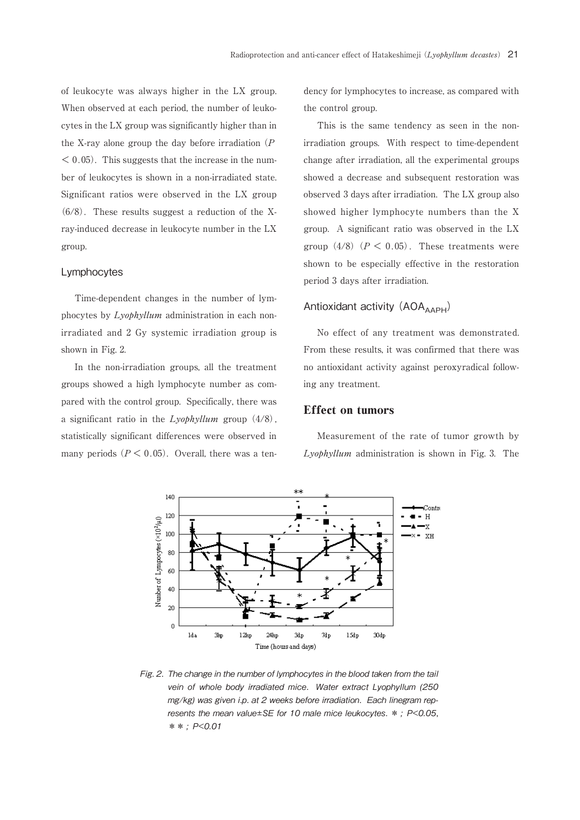of leukocyte was always higher in the LX group. When observed at each period, the number of leukocytes in the LX group was significantly higher than in the X-ray alone group the day before irradiation  $(P)$  $< 0.05$ ). This suggests that the increase in the number of leukocytes is shown in a non-irradiated state. Significant ratios were observed in the LX group (6/8). These results suggest a reduction of the Xray-induced decrease in leukocyte number in the LX group.

### Lymphocytes

Time-dependent changes in the number of lymphocytes by Lyophyllum administration in each nonirradiated and 2 Gy systemic irradiation group is shown in Fig. 2.

In the non-irradiation groups, all the treatment groups showed a high lymphocyte number as compared with the control group. Specifically, there was a significant ratio in the  $Lyophyllum$  group  $(4/8)$ , statistically significant differences were observed in many periods  $(P < 0.05)$ . Overall, there was a tendency for lymphocytes to increase, as compared with the control group.

This is the same tendency as seen in the nonirradiation groups. With respect to time-dependent change after irradiation, all the experimental groups showed a decrease and subsequent restoration was observed 3 days after irradiation. The LX group also showed higher lymphocyte numbers than the X group. A significant ratio was observed in the LX group  $(4/8)$   $(P < 0.05)$ . These treatments were shown to be especially effective in the restoration period 3 days after irradiation.

# Antioxidant activity  $(AOA_{ADPH})$

No effect of any treatment was demonstrated. From these results, it was confirmed that there was no antioxidant activity against peroxyradical following any treatment.

## Effect on tumors

Measurement of the rate of tumor growth by Lyophyllum administration is shown in Fig. 3. The



Fig. 2. The change in the number of lymphocytes in the blood taken from the tail vein of whole body irradiated mice. Water extract Lyophyllum (250 mg/kg) was given i.p. at 2 weeks before irradiation. Each linegram represents the mean value±SE for 10 male mice leukocytes. \* ; P<0.05,  $* * : P < 0.01$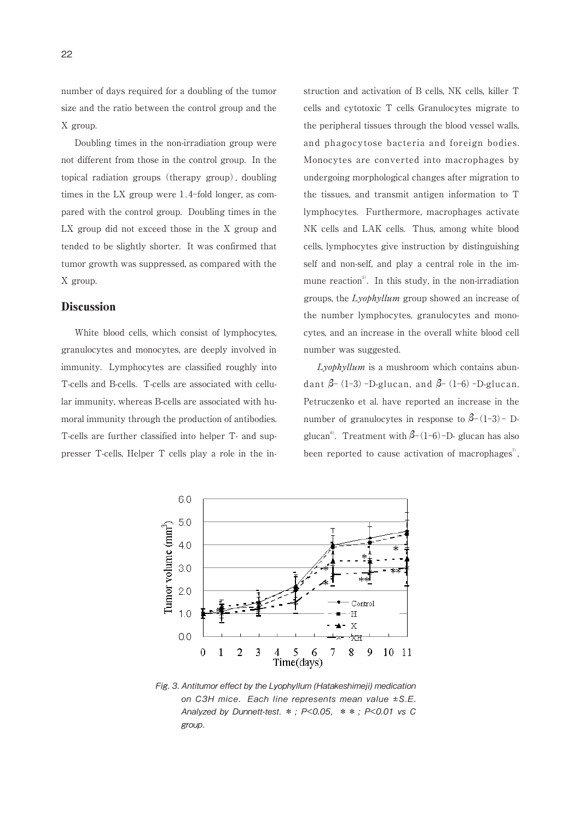number of days required for a doubling of the tumor size and the ratio between the control group and the X group.

Doubling times in the non-irradiation group were not different from those in the control group. In the topical radiation groups (therapy group) , doubling times in the LX group were 1.4-fold longer, as compared with the control group. Doubling times in the LX group did not exceed those in the X group and tended to be slightly shorter. It was confirmed that tumor growth was suppressed, as compared with the X group.

# **Discussion**

White blood cells, which consist of lymphocytes, granulocytes and monocytes, are deeply involved in immunity. Lymphocytes are classified roughly into T-cells and B-cells. T-cells are associated with cellular immunity, whereas B-cells are associated with humoral immunity through the production of antibodies. T-cells are further classified into helper T- and suppresser T-cells, Helper T cells play a role in the instruction and activation of B cells, NK cells, killer T cells and cytotoxic T cells Granulocytes migrate to the peripheral tissues through the blood vessel walls, and phagocytose bacteria and foreign bodies. Monocytes are converted into macrophages by undergoing morphological changes after migration to the tissues, and transmit antigen information to T lymphocytes. Furthermore, macrophages activate NK cells and LAK cells. Thus, among white blood cells, lymphocytes give instruction by distinguishing self and non-self, and play a central role in the immune reaction<sup>5)</sup>. In this study, in the non-irradiation groups, the Lyophyllum group showed an increase of the number lymphocytes, granulocytes and monocytes, and an increase in the overall white blood cell number was suggested.

Lyophyllum is a mushroom which contains abundant  $\beta$ - (1-3) -D-glucan, and  $\beta$ - (1-6) -D-glucan. Petruczenko et al. have reported an increase in the number of granulocytes in response to  $\beta$ -(1-3)- Dglucan<sup>6</sup>. Treatment with  $\beta$ -(1-6)-D- glucan has also been reported to cause activation of macrophages<sup>7</sup>. ,



Fig. 3. Antitumor effect by the Lyophyllum (Hatakeshimeji) medication on C3H mice. Each line represents mean value ±S.E. Analyzed by Dunnett-test.  $*$ ;  $P < 0.05$ ,  $*$ ,  $*$ ;  $P < 0.01$  vs C group.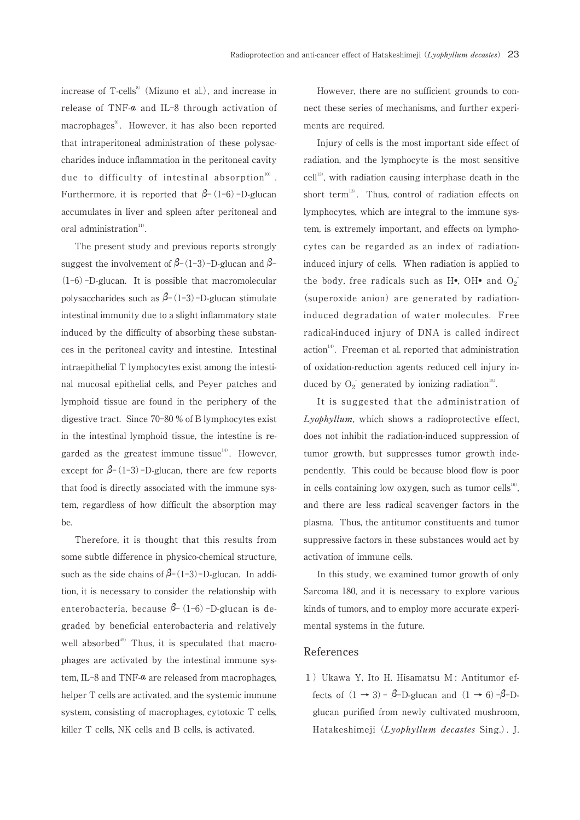increase of T-cells<sup>8)</sup> (Mizuno et al.), and increase in release of TNF- $\alpha$  and IL-8 through activation of macrophages<sup>9</sup>. However, it has also been reported that intraperitoneal administration of these polysaccharides induce inflammation in the peritoneal cavity due to difficulty of intestinal absorption $100$ . . Furthermore, it is reported that  $\beta$ - (1-6) -D-glucan accumulates in liver and spleen after peritoneal and oral administration<sup>11)</sup>. .

The present study and previous reports strongly suggest the involvement of  $\beta$ -(1-3)-D-glucan and  $\beta$ -(1-6) -D-glucan. It is possible that macromolecular polysaccharides such as  $\beta$ -(1-3)-D-glucan stimulate intestinal immunity due to a slight inflammatory state induced by the difficulty of absorbing these substances in the peritoneal cavity and intestine. Intestinal intraepithelial T lymphocytes exist among the intestinal mucosal epithelial cells, and Peyer patches and lymphoid tissue are found in the periphery of the digestive tract. Since 70-80 % of B lymphocytes exist in the intestinal lymphoid tissue, the intestine is regarded as the greatest immune tissue $14$ . However, except for  $\beta$ -(1-3)-D-glucan, there are few reports that food is directly associated with the immune system, regardless of how difficult the absorption may be.

Therefore, it is thought that this results from some subtle difference in physico-chemical structure, such as the side chains of  $\beta$ -(1-3)-D-glucan. In addition, it is necessary to consider the relationship with enterobacteria, because  $\beta$ - (1-6) -D-glucan is degraded by beneficial enterobacteria and relatively well absorbed $45$ <sup>45</sup>) Thus, it is speculated that macrophages are activated by the intestinal immune system, IL-8 and TNF- $a$  are released from macrophages. helper T cells are activated, and the systemic immune system, consisting of macrophages, cytotoxic T cells, killer T cells, NK cells and B cells, is activated.

However, there are no sufficient grounds to connect these series of mechanisms, and further experiments are required.

Injury of cells is the most important side effect of radiation, and the lymphocyte is the most sensitive  $\text{cell}^{12}$ , with radiation causing interphase death in the short term<sup>13)</sup>. Thus, control of radiation effects on lymphocytes, which are integral to the immune system, is extremely important, and effects on lymphocytes can be regarded as an index of radiationinduced injury of cells. When radiation is applied to the body, free radicals such as H•, OH• and  $O_2^-$ (superoxide anion) are generated by radiationinduced degradation of water molecules. Free radical-induced injury of DNA is called indirect action<sup>14)</sup>. Freeman et al. reported that administration of oxidation-reduction agents reduced cell injury induced by  $O_2$ <sup>-</sup> generated by ionizing radiation<sup>15)</sup> .

It is suggested that the administration of Lyophyllum, which shows a radioprotective effect, does not inhibit the radiation-induced suppression of tumor growth, but suppresses tumor growth independently. This could be because blood flow is poor in cells containing low oxygen, such as tumor cells $^{16}$ , , and there are less radical scavenger factors in the plasma. Thus, the antitumor constituents and tumor suppressive factors in these substances would act by activation of immune cells.

In this study, we examined tumor growth of only Sarcoma 180, and it is necessary to explore various kinds of tumors, and to employ more accurate experimental systems in the future.

#### References

1) Ukawa Y, Ito H, Hisamatsu M; Antitumor effects of  $(1 \rightarrow 3) - \beta$ -D-glucan and  $(1 \rightarrow 6) - \beta$ -Dglucan purified from newly cultivated mushroom, Hatakeshimeji (Lyophyllum decastes Sing.) . J.